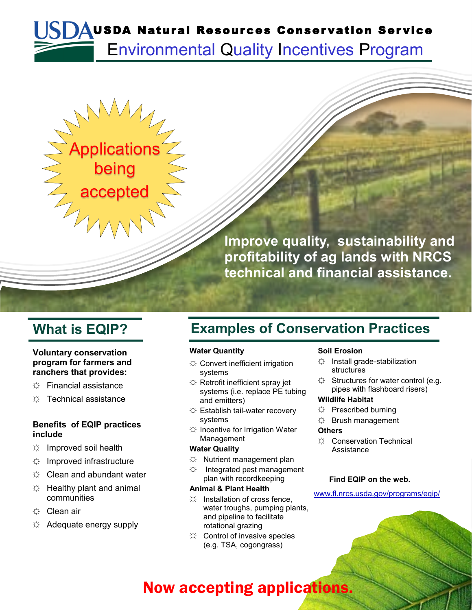# Environmental Quality Incentives Program SDAUSDA Natural Resources Conservation Service



#### **Voluntary conservation program for farmers and ranchers that provides:**

- ☼ Financial assistance
- ☼ Technical assistance

#### **Benefits of EQIP practices include**

- $\Leftrightarrow$  Improved soil health
- $\uplus$  Improved infrastructure
- $\varnothing$  Clean and abundant water
- $\uplus$  Healthy plant and animal communities
- ☼ Clean air
- ☼ Adequate energy supply

### **What is EQIP? Examples of Conservation Practices**

#### **Water Quantity**

- ☼ Convert inefficient irrigation systems
- ☼ Retrofit inefficient spray jet systems (i.e. replace PE tubing and emitters)
- ☼ Establish tail-water recovery systems
- ☼ Incentive for Irrigation Water Management

#### **Water Quality**

- $\uplus$  Nutrient management plan
- $\Leftrightarrow$  Integrated pest management plan with recordkeeping

#### **Animal & Plant Health**

- $\uplus$  Installation of cross fence, water troughs, pumping plants, and pipeline to facilitate rotational grazing
- ☼ Control of invasive species (e.g. TSA, cogongrass)

#### **Soil Erosion**

- ☼ Install grade-stabilization structures
- $\hat{X}$  Structures for water control (e.g. pipes with flashboard risers)

#### **Wildlife Habitat**

- ☼ Prescribed burning
- ☼ Brush management

#### **Others**

☼ Conservation Technical **Assistance** 

#### **Find EQIP on the web.**

www.fl.nrcs.usda.gov/programs/eqip/

### Now accepting applications.